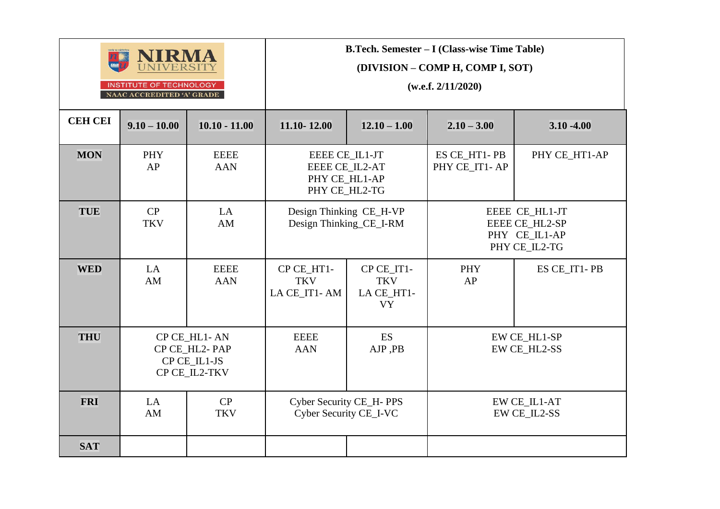

INSTITUTE OF TECHNOLOGY NAAC ACCREDITED 'A' GRADE **B.Tech. Semester – I (Class-wise Time Table)**

**(DIVISION – COMP H, COMP I, SOT)**

**(w.e.f. 2/11/2020)**

| <b>CEH CEI</b> | $9.10 - 10.00$   | $10.10 - 11.00$                                                | 11.10-12.00<br>$12.10 - 1.00$                                      |                                                     | $2.10 - 3.00$                 | $3.10 - 4.00$                                                      |
|----------------|------------------|----------------------------------------------------------------|--------------------------------------------------------------------|-----------------------------------------------------|-------------------------------|--------------------------------------------------------------------|
| <b>MON</b>     | PHY<br>AP        | <b>EEEE</b><br><b>AAN</b>                                      | EEEE CE IL1-JT<br>EEEE CE_IL2-AT<br>PHY CE_HL1-AP<br>PHY CE_HL2-TG |                                                     | ES CE_HT1-PB<br>PHY CE_IT1-AP | PHY CE_HT1-AP                                                      |
| <b>TUE</b>     | CP<br><b>TKV</b> | LA<br>AM                                                       | Design Thinking_CE_I-RM                                            | Design Thinking CE_H-VP                             |                               | EEEE CE_HL1-JT<br>EEEE CE_HL2-SP<br>PHY CE_IL1-AP<br>PHY CE_IL2-TG |
| <b>WED</b>     | LA<br>AM         | <b>EEEE</b><br><b>AAN</b>                                      | CP CE HT1-<br><b>TKV</b><br>LA CE_IT1-AM                           | CP CE IT1-<br><b>TKV</b><br>LA CE_HT1-<br><b>VY</b> | <b>PHY</b><br>AP              | ES CE IT1-PB                                                       |
| <b>THU</b>     |                  | CP CE_HL1-AN<br>CP CE HL2-PAP<br>CP CE_IL1-JS<br>CP CE_IL2-TKV | <b>ES</b><br><b>EEEE</b><br><b>AAN</b><br>AJP, PB                  |                                                     | EW CE_HL1-SP<br>EW CE_HL2-SS  |                                                                    |
| <b>FRI</b>     | LA<br>AM         | CP<br><b>TKV</b>                                               | Cyber Security CE_H- PPS<br>Cyber Security CE_I-VC                 |                                                     |                               | EW CE_IL1-AT<br><b>EW CE_IL2-SS</b>                                |
| <b>SAT</b>     |                  |                                                                |                                                                    |                                                     |                               |                                                                    |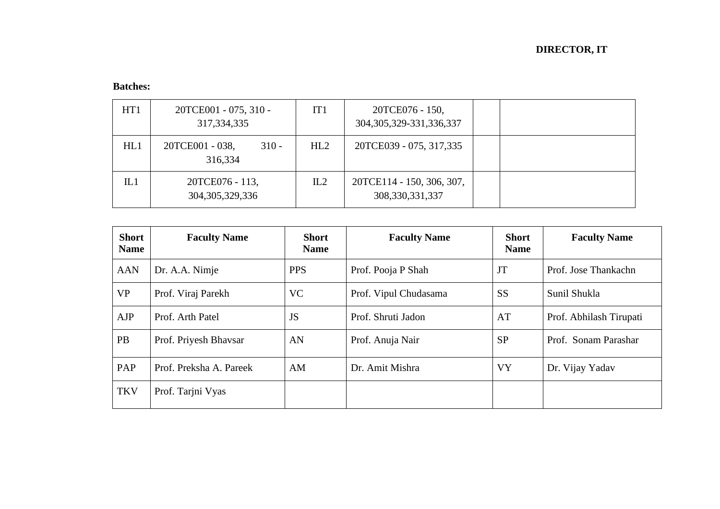| HT1 | 20TCE001 - 075, 310 -<br>317, 334, 335 | IT <sub>1</sub> | 20TCE076 - 150,<br>304, 305, 329-331, 336, 337  |  |
|-----|----------------------------------------|-----------------|-------------------------------------------------|--|
| HL1 | 20TCE001 - 038,<br>$310 -$<br>316,334  | HL2             | 20TCE039 - 075, 317,335                         |  |
| IL1 | 20TCE076 - 113,<br>304, 305, 329, 336  | IL2             | 20TCE114 - 150, 306, 307,<br>308, 330, 331, 337 |  |

| <b>Short</b><br><b>Name</b> | <b>Faculty Name</b>     | <b>Short</b><br><b>Name</b> | <b>Faculty Name</b>   | <b>Short</b><br><b>Name</b> | <b>Faculty Name</b>     |
|-----------------------------|-------------------------|-----------------------------|-----------------------|-----------------------------|-------------------------|
| <b>AAN</b>                  | Dr. A.A. Nimje          | <b>PPS</b>                  | Prof. Pooja P Shah    | JT                          | Prof. Jose Thankachn    |
| <b>VP</b>                   | Prof. Viraj Parekh      | <b>VC</b>                   | Prof. Vipul Chudasama | <b>SS</b>                   | Sunil Shukla            |
| AJP                         | Prof. Arth Patel        | JS                          | Prof. Shruti Jadon    | AT                          | Prof. Abhilash Tirupati |
| <b>PB</b>                   | Prof. Priyesh Bhavsar   | AN                          | Prof. Anuja Nair      | <b>SP</b>                   | Prof. Sonam Parashar    |
| PAP                         | Prof. Preksha A. Pareek | AM                          | Dr. Amit Mishra       | <b>VY</b>                   | Dr. Vijay Yadav         |
| <b>TKV</b>                  | Prof. Tarjni Vyas       |                             |                       |                             |                         |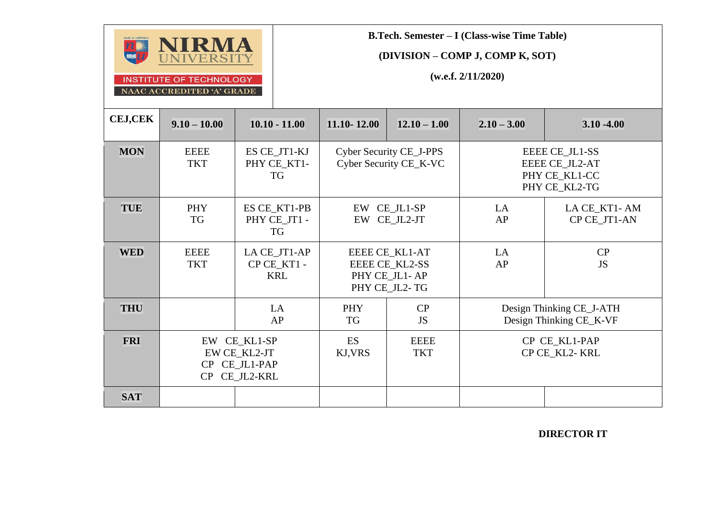

**B.Tech. Semester – I (Class-wise Time Table)**

**(DIVISION – COMP J, COMP K, SOT)**

**(w.e.f. 2/11/2020)**

| <b>CEJ,CEK</b> | $9.10 - 10.00$            | $10.10 - 11.00$                                                | 11.10-12.00                                              | $12.10 - 1.00$                                                     | $2.10 - 3.00$                                       | $3.10 - 4.00$                                                             |
|----------------|---------------------------|----------------------------------------------------------------|----------------------------------------------------------|--------------------------------------------------------------------|-----------------------------------------------------|---------------------------------------------------------------------------|
| <b>MON</b>     | <b>EEEE</b><br><b>TKT</b> | ES CE_JT1-KJ<br>PHY CE_KT1-<br>TG                              | <b>Cyber Security CE_J-PPS</b><br>Cyber Security CE_K-VC |                                                                    |                                                     | EEEE CE_JL1-SS<br><b>EEEE CE JL2-AT</b><br>PHY CE_KL1-CC<br>PHY CE_KL2-TG |
| <b>TUE</b>     | <b>PHY</b><br>TG          | ES CE_KT1-PB<br>PHY CE_JT1 -<br>TG                             | EW CE_JL1-SP<br>EW CE_JL2-JT                             |                                                                    | LA<br>AP                                            | LA CE_KT1-AM<br>CP CE_JT1-AN                                              |
| <b>WED</b>     | <b>EEEE</b><br><b>TKT</b> | LA CE_JT1-AP<br>CP CE_KT1 -<br><b>KRL</b>                      |                                                          | EEEE CE_KL1-AT<br>EEEE CE_KL2-SS<br>PHY CE_JL1-AP<br>PHY CE_JL2-TG | LA<br>AP                                            | CP<br><b>JS</b>                                                           |
| <b>THU</b>     |                           | LA<br>AP                                                       | <b>PHY</b><br>TG                                         | CP<br><b>JS</b>                                                    | Design Thinking CE_J-ATH<br>Design Thinking CE_K-VF |                                                                           |
| <b>FRI</b>     |                           | EW CE_KL1-SP<br>EW CE_KL2-JT<br>CP CE_JL1-PAP<br>CP CE_JL2-KRL | <b>ES</b><br>KJ, VRS                                     | <b>EEEE</b><br><b>TKT</b>                                          | CP CE_KL1-PAP<br>CP CE_KL2- KRL                     |                                                                           |
| <b>SAT</b>     |                           |                                                                |                                                          |                                                                    |                                                     |                                                                           |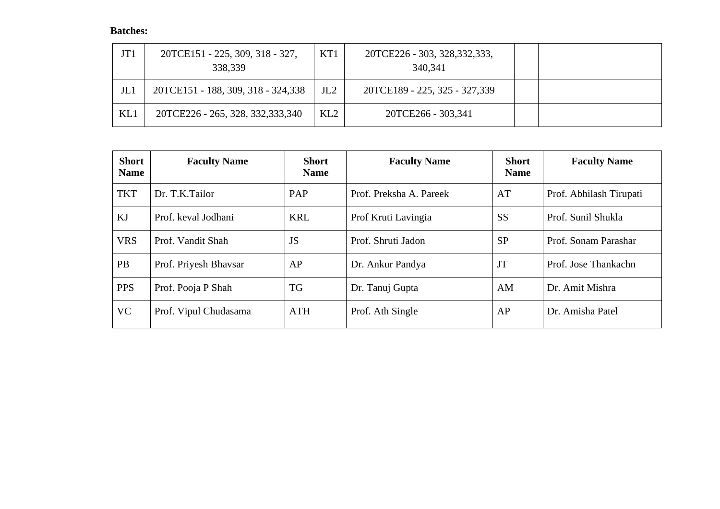| JT1             | 20TCE151 - 225, 309, 318 - 327,<br>338,339 | KT1 | 20TCE226 - 303, 328, 332, 333,<br>340,341 |  |
|-----------------|--------------------------------------------|-----|-------------------------------------------|--|
| J <sub>L1</sub> | 20TCE151 - 188, 309, 318 - 324,338         | JL2 | 20TCE189 - 225, 325 - 327,339             |  |
| KL1             | 20TCE226 - 265, 328, 332, 333, 340         | KL2 | 20TCE266 - 303,341                        |  |

| <b>Short</b><br><b>Name</b> | <b>Faculty Name</b>   | <b>Short</b><br><b>Name</b> | <b>Faculty Name</b>     | <b>Short</b><br><b>Name</b> | <b>Faculty Name</b>     |
|-----------------------------|-----------------------|-----------------------------|-------------------------|-----------------------------|-------------------------|
| <b>TKT</b>                  | Dr. T.K.Tailor        | PAP                         | Prof. Preksha A. Pareek | AT                          | Prof. Abhilash Tirupati |
| KJ                          | Prof. keval Jodhani   | <b>KRL</b>                  | Prof Kruti Lavingia     | <b>SS</b>                   | Prof. Sunil Shukla      |
| <b>VRS</b>                  | Prof. Vandit Shah     | JS                          | Prof. Shruti Jadon      | <b>SP</b>                   | Prof. Sonam Parashar    |
| <b>PB</b>                   | Prof. Priyesh Bhavsar | AP                          | Dr. Ankur Pandya        | JT                          | Prof. Jose Thankachn    |
| <b>PPS</b>                  | Prof. Pooja P Shah    | <b>TG</b>                   | Dr. Tanuj Gupta         | AM                          | Dr. Amit Mishra         |
| <b>VC</b>                   | Prof. Vipul Chudasama | <b>ATH</b>                  | Prof. Ath Single        | AP                          | Dr. Amisha Patel        |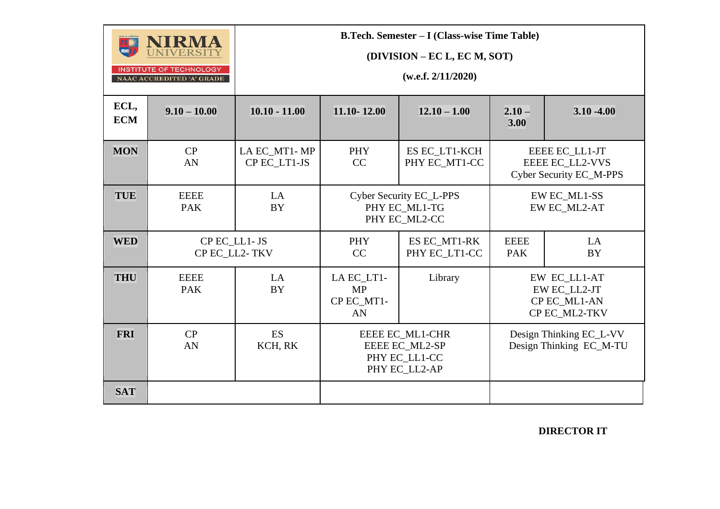|                    | IRMA<br><b>INSTITUTE OF TECHNOLOGY</b><br>NAAC ACCREDITED 'A' GRADE |                              |                                                           | <b>B.Tech. Semester – I (Class-wise Time Table)</b><br>(DIVISION – EC L, EC M, SOT)<br>(w.e.f. 2/11/2020) |                                                               |                                                                     |
|--------------------|---------------------------------------------------------------------|------------------------------|-----------------------------------------------------------|-----------------------------------------------------------------------------------------------------------|---------------------------------------------------------------|---------------------------------------------------------------------|
| ECL,<br><b>ECM</b> | $9.10 - 10.00$                                                      | $10.10 - 11.00$              | 11.10-12.00                                               | $12.10 - 1.00$                                                                                            | $2.10 -$<br>3.00                                              | $3.10 - 4.00$                                                       |
| <b>MON</b>         | CP<br>AN                                                            | LA EC_MT1-MP<br>CP EC_LT1-JS | ES EC_LT1-KCH<br><b>PHY</b><br>CC<br>PHY EC_MT1-CC        |                                                                                                           |                                                               | EEEE EC_LL1-JT<br>EEEE EC_LL2-VVS<br><b>Cyber Security EC_M-PPS</b> |
| <b>TUE</b>         | <b>EEEE</b><br><b>PAK</b>                                           | LA<br><b>BY</b>              | Cyber Security EC_L-PPS<br>PHY EC_ML1-TG<br>PHY EC_ML2-CC |                                                                                                           | EW EC_ML1-SS<br>EW EC_ML2-AT                                  |                                                                     |
| <b>WED</b>         | CP EC LL1-JS<br>CP EC_LL2-TKV                                       |                              | <b>PHY</b><br>CC                                          | ES EC_MT1-RK<br>PHY EC_LT1-CC                                                                             | <b>EEEE</b><br><b>PAK</b>                                     | LA<br><b>BY</b>                                                     |
| <b>THU</b>         | <b>EEEE</b><br><b>PAK</b>                                           | LA<br><b>BY</b>              | LA EC_LT1-<br>Library<br><b>MP</b><br>CP EC_MT1-<br>AN    |                                                                                                           | EW EC_LL1-AT<br>EW EC_LL2-JT<br>CP EC_ML1-AN<br>CP EC_ML2-TKV |                                                                     |
| <b>FRI</b>         | CP<br>AN                                                            | <b>ES</b><br>KCH, RK         |                                                           | EEEE EC_ML1-CHR<br>EEEE EC_ML2-SP<br>PHY EC_LL1-CC<br>PHY EC LL2-AP                                       |                                                               | Design Thinking EC_L-VV<br>Design Thinking EC_M-TU                  |
| <b>SAT</b>         |                                                                     |                              |                                                           |                                                                                                           |                                                               |                                                                     |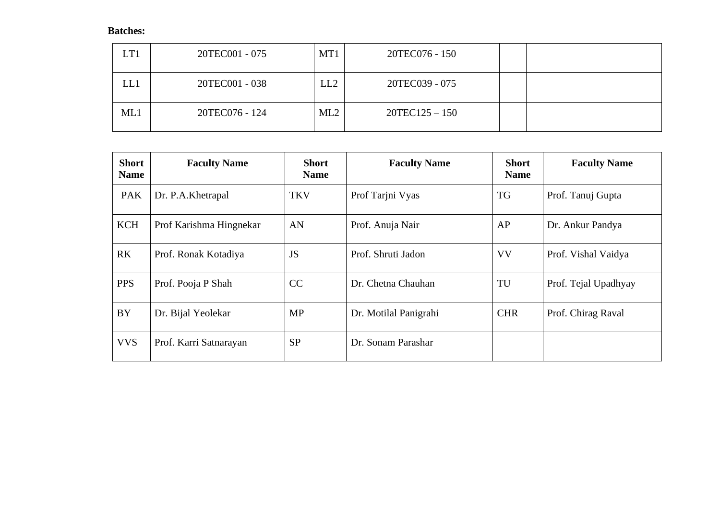| LT1 | 20TEC001 - 075 | MT1 | 20TEC076 - 150   |  |
|-----|----------------|-----|------------------|--|
| LL1 | 20TEC001 - 038 | LL2 | 20TEC039 - 075   |  |
| ML1 | 20TEC076 - 124 | ML2 | $20TEC125 - 150$ |  |

| <b>Short</b><br><b>Name</b> | <b>Faculty Name</b>     | <b>Short</b><br><b>Name</b> | <b>Faculty Name</b>   | <b>Short</b><br><b>Name</b> | <b>Faculty Name</b>  |
|-----------------------------|-------------------------|-----------------------------|-----------------------|-----------------------------|----------------------|
| <b>PAK</b>                  | Dr. P.A.Khetrapal       | <b>TKV</b>                  | Prof Tarjni Vyas      | TG                          | Prof. Tanuj Gupta    |
| <b>KCH</b>                  | Prof Karishma Hingnekar | AN                          | Prof. Anuja Nair      | AP                          | Dr. Ankur Pandya     |
| <b>RK</b>                   | Prof. Ronak Kotadiya    | <b>JS</b>                   | Prof. Shruti Jadon    | <b>VV</b>                   | Prof. Vishal Vaidya  |
| <b>PPS</b>                  | Prof. Pooja P Shah      | CC                          | Dr. Chetna Chauhan    | TU                          | Prof. Tejal Upadhyay |
| <b>BY</b>                   | Dr. Bijal Yeolekar      | <b>MP</b>                   | Dr. Motilal Panigrahi | <b>CHR</b>                  | Prof. Chirag Raval   |
| <b>VVS</b>                  | Prof. Karri Satnarayan  | <b>SP</b>                   | Dr. Sonam Parashar    |                             |                      |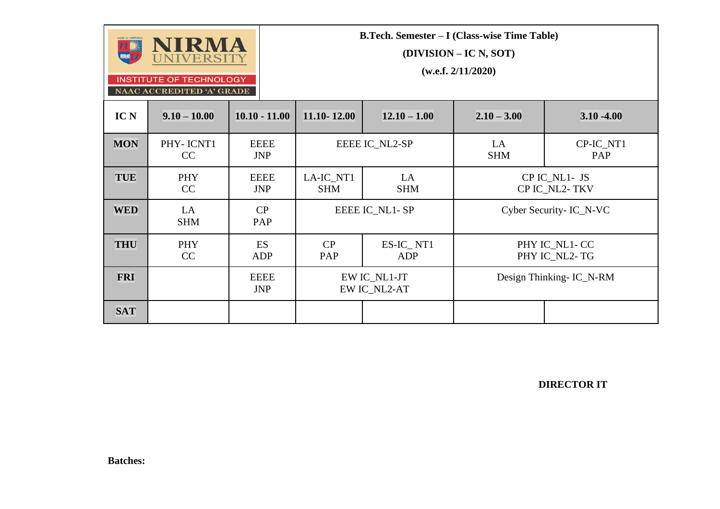

NAAC ACCREDITED 'A' GRADE

**B.Tech. Semester – I (Class-wise Time Table)**

**(DIVISION – IC N, SOT)**

**(w.e.f. 2/11/2020)**

| IC N       | $9.10 - 10.00$          | $10.10 - 11.00$           | 11.10-12.00             | $12.10 - 1.00$               | $2.10 - 3.00$    | $3.10 - 4.00$                   |
|------------|-------------------------|---------------------------|-------------------------|------------------------------|------------------|---------------------------------|
| <b>MON</b> | PHY-ICNT1<br>CC         | <b>EEEE</b><br><b>JNP</b> | EEEE IC NL2-SP          |                              | LA<br><b>SHM</b> | CP-IC_NT1<br>PAP                |
| <b>TUE</b> | PHY<br>CC               | <b>EEEE</b><br><b>JNP</b> | LA-IC_NT1<br><b>SHM</b> | LA<br><b>SHM</b>             |                  | CP IC_NL1- JS<br>CP IC NL2-TKV  |
| <b>WED</b> | <b>LA</b><br><b>SHM</b> | CP<br>PAP                 |                         | EEEE IC NL1-SP               |                  | Cyber Security- IC_N-VC         |
| <b>THU</b> | PHY<br>CC               | <b>ES</b><br>ADP          | CP<br>PAP               | ES-IC_NT1<br>ADP             |                  | PHY IC_NL1- CC<br>PHY IC NL2-TG |
| <b>FRI</b> |                         | <b>EEEE</b><br><b>JNP</b> |                         | EW IC_NL1-JT<br>EW IC_NL2-AT |                  | Design Thinking- IC_N-RM        |
| <b>SAT</b> |                         |                           |                         |                              |                  |                                 |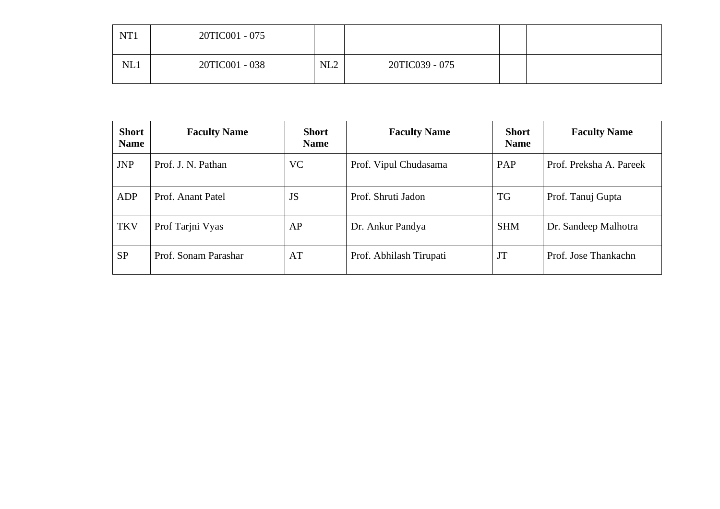| NT <sub>1</sub> | 20TIC001 - 075 |     |                |  |
|-----------------|----------------|-----|----------------|--|
| NL1             | 20TIC001 - 038 | NL2 | 20TIC039 - 075 |  |

| <b>Short</b><br><b>Name</b> | <b>Faculty Name</b>  | <b>Short</b><br><b>Name</b> | <b>Faculty Name</b>     | <b>Short</b><br><b>Name</b> | <b>Faculty Name</b>     |
|-----------------------------|----------------------|-----------------------------|-------------------------|-----------------------------|-------------------------|
| <b>JNP</b>                  | Prof. J. N. Pathan   | <b>VC</b>                   | Prof. Vipul Chudasama   | PAP                         | Prof. Preksha A. Pareek |
| ADP                         | Prof. Anant Patel    | <b>JS</b>                   | Prof. Shruti Jadon      | TG                          | Prof. Tanuj Gupta       |
| <b>TKV</b>                  | Prof Tarjni Vyas     | AP                          | Dr. Ankur Pandya        | <b>SHM</b>                  | Dr. Sandeep Malhotra    |
| <b>SP</b>                   | Prof. Sonam Parashar | AT                          | Prof. Abhilash Tirupati | JT                          | Prof. Jose Thankachn    |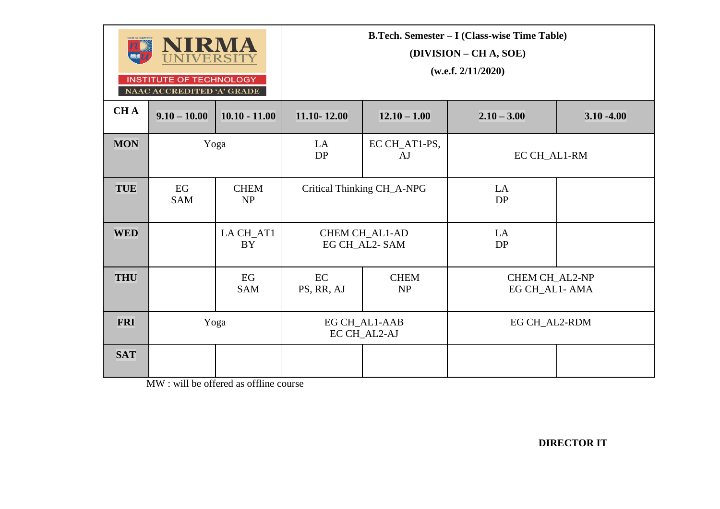|            | NIRMA<br><b>UNIVERSITY</b><br><b>INSTITUTE OF TECHNOLOGY</b><br>NAAC ACCREDITED 'A' GRADE |                          | <b>B.Tech. Semester - I (Class-wise Time Table)</b><br>(DIVISION – CH A, SOE)<br>(w.e.f. 2/11/2020) |                                        |                                  |               |  |
|------------|-------------------------------------------------------------------------------------------|--------------------------|-----------------------------------------------------------------------------------------------------|----------------------------------------|----------------------------------|---------------|--|
| <b>CHA</b> | $9.10 - 10.00$                                                                            | $10.10 - 11.00$          | 11.10-12.00                                                                                         | $12.10 - 1.00$                         | $2.10 - 3.00$                    | $3.10 - 4.00$ |  |
| <b>MON</b> |                                                                                           | Yoga                     | LA<br>DP                                                                                            | EC CH_AT1-PS,<br>AJ                    | EC CH_AL1-RM                     |               |  |
| <b>TUE</b> | EG<br><b>SAM</b>                                                                          | <b>CHEM</b><br><b>NP</b> |                                                                                                     | Critical Thinking CH_A-NPG             |                                  |               |  |
| <b>WED</b> |                                                                                           | LA CH_AT1<br><b>BY</b>   |                                                                                                     | <b>CHEM CH_AL1-AD</b><br>EG CH_AL2-SAM | LA<br>DP                         |               |  |
| <b>THU</b> |                                                                                           | EG<br><b>SAM</b>         | EC<br><b>CHEM</b><br>PS, RR, AJ<br>NP                                                               |                                        | CHEM CH_AL2-NP<br>EG CH_AL1- AMA |               |  |
| <b>FRI</b> |                                                                                           | Yoga                     |                                                                                                     | EG CH_AL1-AAB<br>EC CH_AL2-AJ          | EG CH AL2-RDM                    |               |  |
| <b>SAT</b> |                                                                                           |                          |                                                                                                     |                                        |                                  |               |  |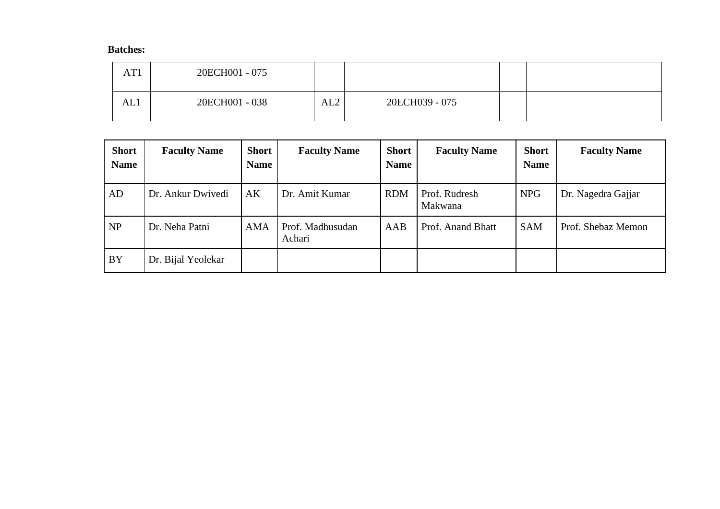| AT1 | 20ECH001 - 075 |     |                |  |
|-----|----------------|-----|----------------|--|
| AL1 | 20ECH001 - 038 | AL2 | 20ECH039 - 075 |  |

| <b>Short</b><br><b>Name</b> | <b>Faculty Name</b> | <b>Short</b><br><b>Name</b> | <b>Faculty Name</b>        | <b>Short</b><br><b>Name</b> | <b>Faculty Name</b>      | <b>Short</b><br><b>Name</b> | <b>Faculty Name</b> |
|-----------------------------|---------------------|-----------------------------|----------------------------|-----------------------------|--------------------------|-----------------------------|---------------------|
| AD                          | Dr. Ankur Dwivedi   | AK                          | Dr. Amit Kumar             | <b>RDM</b>                  | Prof. Rudresh<br>Makwana | <b>NPG</b>                  | Dr. Nagedra Gajjar  |
| NP                          | Dr. Neha Patni      | <b>AMA</b>                  | Prof. Madhusudan<br>Achari | AAB                         | Prof. Anand Bhatt        | <b>SAM</b>                  | Prof. Shebaz Memon  |
| <b>BY</b>                   | Dr. Bijal Yeolekar  |                             |                            |                             |                          |                             |                     |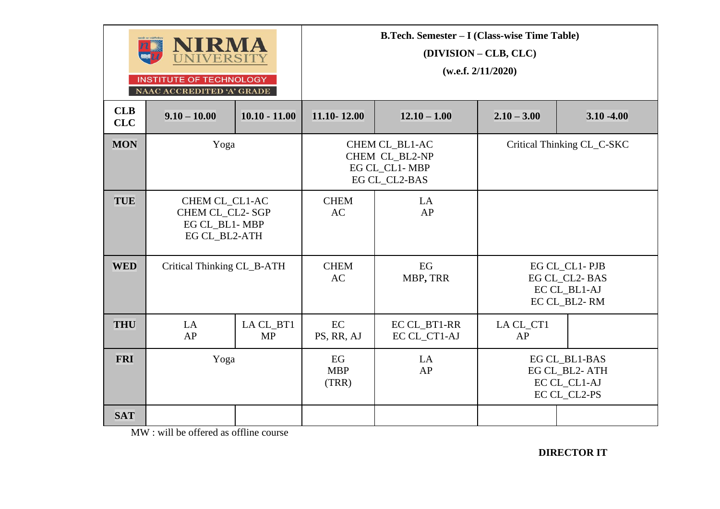|                   | NIRMA<br>NIVERSITY<br><b>INSTITUTE OF TECHNOLOGY</b><br>NAAC ACCREDITED 'A' GRADE |                        |                           | <b>B.Tech. Semester - I (Class-wise Time Table)</b>                | (DIVISION – CLB, CLC)<br>(w.e.f. 2/11/2020)                    |                                                                |  |
|-------------------|-----------------------------------------------------------------------------------|------------------------|---------------------------|--------------------------------------------------------------------|----------------------------------------------------------------|----------------------------------------------------------------|--|
| <b>CLB</b><br>CLC | $9.10 - 10.00$                                                                    | $10.10 - 11.00$        | 11.10-12.00               | $12.10 - 1.00$                                                     | $2.10 - 3.00$                                                  | $3.10 - 4.00$                                                  |  |
| <b>MON</b>        | Yoga                                                                              |                        |                           | CHEM CL_BL1-AC<br>CHEM CL_BL2-NP<br>EG CL_CL1-MBP<br>EG CL_CL2-BAS | Critical Thinking CL_C-SKC                                     |                                                                |  |
| <b>TUE</b>        | CHEM CL CL1-AC<br>CHEM CL_CL2-SGP<br>EG CL_BL1-MBP<br>EG CL_BL2-ATH               |                        | <b>CHEM</b><br>AC         | LA<br>AP                                                           |                                                                |                                                                |  |
| <b>WED</b>        | Critical Thinking CL_B-ATH                                                        |                        | <b>CHEM</b><br>AC         | EG<br>MBP, TRR                                                     |                                                                | EG CL_CL1-PJB<br>EG CL_CL2-BAS<br>EC CL_BL1-AJ<br>EC CL_BL2-RM |  |
| <b>THU</b>        | LA<br>AP                                                                          | LA CL_BT1<br><b>MP</b> | EC<br>PS, RR, AJ          | EC CL_BT1-RR<br>EC CL_CT1-AJ                                       | LA CL_CT1<br>AP                                                |                                                                |  |
| <b>FRI</b>        | Yoga                                                                              |                        | EG<br><b>MBP</b><br>(TRR) | LA<br>AP                                                           | EG CL_BL1-BAS<br>EG CL_BL2-ATH<br>EC CL CL1-AJ<br>EC CL_CL2-PS |                                                                |  |
| <b>SAT</b>        |                                                                                   |                        |                           |                                                                    |                                                                |                                                                |  |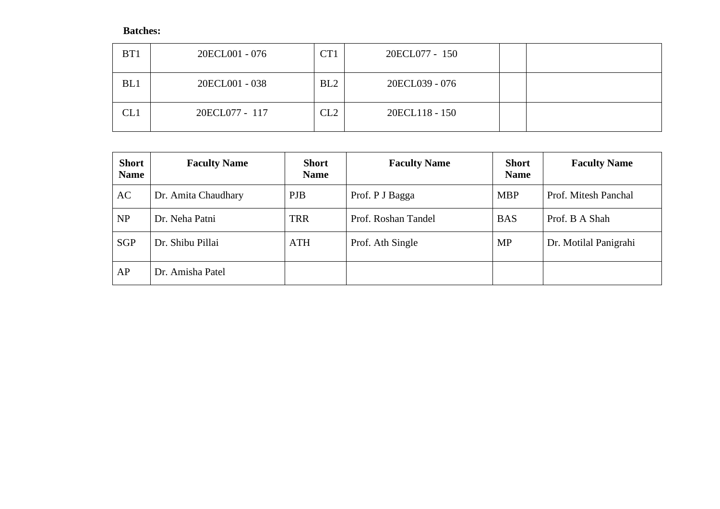| BT1 | 20ECL001 - 076 | C <sub>T</sub> 1 | 20ECL077 - 150 |  |
|-----|----------------|------------------|----------------|--|
| BL1 | 20ECL001 - 038 | BL2              | 20ECL039 - 076 |  |
| CL1 | 20ECL077 - 117 | CL2              | 20ECL118 - 150 |  |

| <b>Short</b><br><b>Name</b> | <b>Faculty Name</b> | <b>Short</b><br><b>Name</b> | <b>Faculty Name</b> | <b>Short</b><br><b>Name</b> | <b>Faculty Name</b>   |
|-----------------------------|---------------------|-----------------------------|---------------------|-----------------------------|-----------------------|
| AC                          | Dr. Amita Chaudhary | <b>PJB</b>                  | Prof. P J Bagga     | <b>MBP</b>                  | Prof. Mitesh Panchal  |
| NP                          | Dr. Neha Patni      | <b>TRR</b>                  | Prof. Roshan Tandel | <b>BAS</b>                  | Prof. B A Shah        |
| <b>SGP</b>                  | Dr. Shibu Pillai    | <b>ATH</b>                  | Prof. Ath Single    | <b>MP</b>                   | Dr. Motilal Panigrahi |
| AP                          | Dr. Amisha Patel    |                             |                     |                             |                       |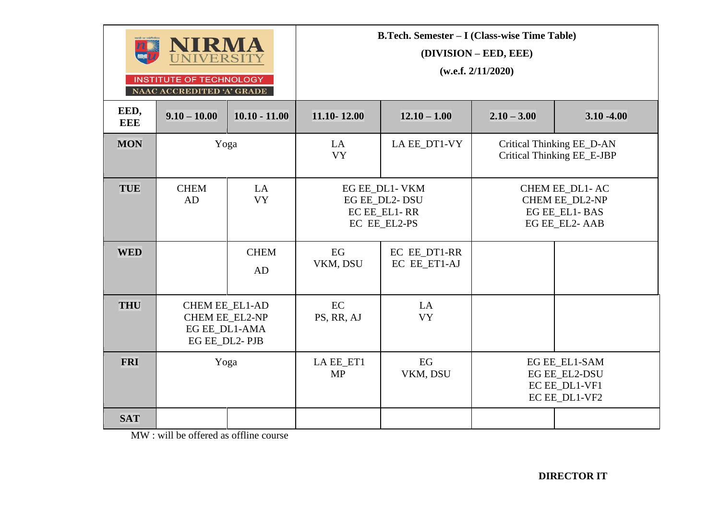| <b>IRMA</b><br><b>IVERSIT</b><br><b>INSTITUTE OF TECHNOLOGY</b><br>NAAC ACCREDITED 'A' GRADE |                                                                           |                   | <b>B.Tech. Semester – I (Class-wise Time Table)</b><br>(DIVISION – EED, EEE)<br>(w.e.f. 2/11/2020) |                                                                 |                                                         |                                                                            |  |  |
|----------------------------------------------------------------------------------------------|---------------------------------------------------------------------------|-------------------|----------------------------------------------------------------------------------------------------|-----------------------------------------------------------------|---------------------------------------------------------|----------------------------------------------------------------------------|--|--|
| EED,<br><b>EEE</b>                                                                           | $9.10 - 10.00$                                                            | $10.10 - 11.00$   | 11.10-12.00                                                                                        | $12.10 - 1.00$                                                  | $2.10 - 3.00$                                           | $3.10 - 4.00$                                                              |  |  |
| <b>MON</b>                                                                                   | Yoga                                                                      |                   | LA<br><b>VY</b>                                                                                    | LA EE_DT1-VY                                                    | Critical Thinking EE_D-AN<br>Critical Thinking EE_E-JBP |                                                                            |  |  |
| <b>TUE</b>                                                                                   | <b>CHEM</b><br>AD                                                         | LA<br><b>VY</b>   |                                                                                                    | EG EE DL1- VKM<br>EG EE_DL2-DSU<br>EC EE_EL1-RR<br>EC EE_EL2-PS |                                                         | CHEM EE DL1-AC<br><b>CHEM EE_DL2-NP</b><br>EG EE_EL1-BAS<br>EG EE_EL2- AAB |  |  |
| <b>WED</b>                                                                                   |                                                                           | <b>CHEM</b><br>AD | EG<br>VKM, DSU                                                                                     | EC EE_DT1-RR<br>EC EE_ET1-AJ                                    |                                                         |                                                                            |  |  |
| <b>THU</b>                                                                                   | <b>CHEM EE EL1-AD</b><br>CHEM EE_EL2-NP<br>EG EE_DL1-AMA<br>EG EE_DL2-PJB |                   | EC<br>PS, RR, AJ                                                                                   | LA<br><b>VY</b>                                                 |                                                         |                                                                            |  |  |
| <b>FRI</b>                                                                                   | Yoga                                                                      |                   | LA EE_ET1<br><b>MP</b>                                                                             | EG<br>VKM, DSU                                                  |                                                         | EG EE EL1-SAM<br><b>EG EE EL2-DSU</b><br>EC EE_DL1-VF1<br>EC EE_DL1-VF2    |  |  |
| <b>SAT</b>                                                                                   |                                                                           |                   |                                                                                                    |                                                                 |                                                         |                                                                            |  |  |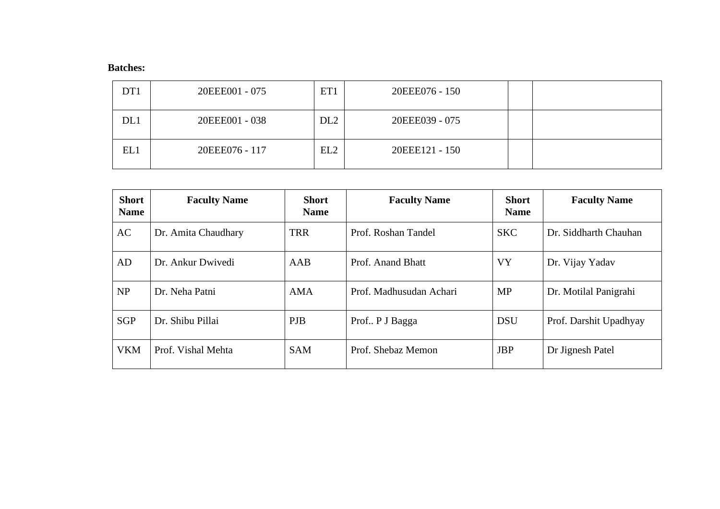| DT1 | 20EEE001 - 075 | ET1             | 20EEE076 - 150 |  |
|-----|----------------|-----------------|----------------|--|
| DL1 | 20EEE001 - 038 | DL <sub>2</sub> | 20EEE039 - 075 |  |
| EL1 | 20EEE076 - 117 | EL2             | 20EEE121 - 150 |  |

| <b>Short</b><br><b>Name</b> | <b>Faculty Name</b> | <b>Short</b><br><b>Name</b> | <b>Faculty Name</b>     | <b>Short</b><br><b>Name</b> | <b>Faculty Name</b>    |
|-----------------------------|---------------------|-----------------------------|-------------------------|-----------------------------|------------------------|
| AC                          | Dr. Amita Chaudhary | <b>TRR</b>                  | Prof. Roshan Tandel     | <b>SKC</b>                  | Dr. Siddharth Chauhan  |
| AD                          | Dr. Ankur Dwivedi   | AAB                         | Prof. Anand Bhatt       | <b>VY</b>                   | Dr. Vijay Yadav        |
| NP                          | Dr. Neha Patni      | <b>AMA</b>                  | Prof. Madhusudan Achari | <b>MP</b>                   | Dr. Motilal Panigrahi  |
| <b>SGP</b>                  | Dr. Shibu Pillai    | <b>PJB</b>                  | Prof. P J Bagga         | <b>DSU</b>                  | Prof. Darshit Upadhyay |
| <b>VKM</b>                  | Prof. Vishal Mehta  | <b>SAM</b>                  | Prof. Shebaz Memon      | <b>JBP</b>                  | Dr Jignesh Patel       |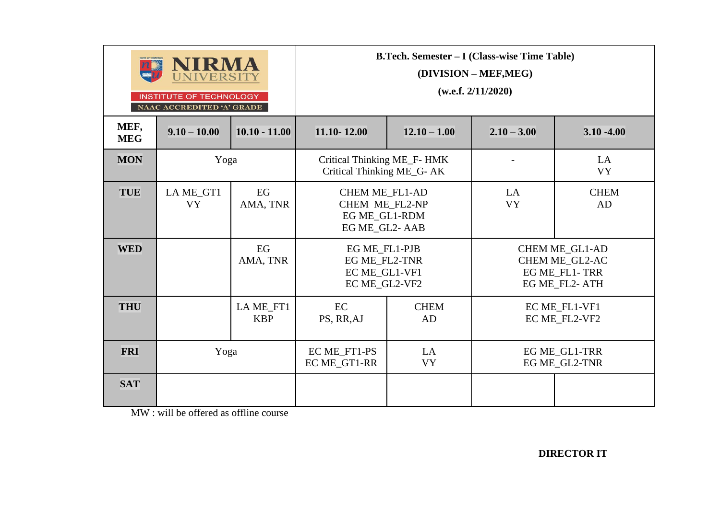|                    | NIRMA<br>VERSITY<br><b>INSTITUTE OF TECHNOLOGY</b><br>NAAC ACCREDITED 'A' GRADE |                         | <b>B.Tech. Semester – I (Class-wise Time Table)</b><br>(DIVISION – MEF, MEG)<br>(w.e.f. 2/11/2020) |                   |                 |                                                                           |  |  |
|--------------------|---------------------------------------------------------------------------------|-------------------------|----------------------------------------------------------------------------------------------------|-------------------|-----------------|---------------------------------------------------------------------------|--|--|
| MEF,<br><b>MEG</b> | $9.10 - 10.00$                                                                  | $10.10 - 11.00$         | 11.10-12.00                                                                                        | $12.10 - 1.00$    | $2.10 - 3.00$   | $3.10 - 4.00$                                                             |  |  |
| <b>MON</b>         | Yoga                                                                            |                         | Critical Thinking ME_F- HMK<br>Critical Thinking ME_G- AK                                          |                   |                 | LA<br><b>VY</b>                                                           |  |  |
| <b>TUE</b>         | LA ME_GT1<br><b>VY</b>                                                          | EG<br>AMA, TNR          | <b>CHEM ME_FL1-AD</b><br>CHEM ME FL2-NP<br>EG ME GL1-RDM<br>EG ME_GL2-AAB                          |                   | LA<br><b>VY</b> | <b>CHEM</b><br>AD                                                         |  |  |
| <b>WED</b>         |                                                                                 | EG<br>AMA, TNR          | EG ME_FL1-PJB<br>EG ME_FL2-TNR<br>EC ME_GL1-VF1<br>EC ME GL2-VF2                                   |                   |                 | <b>CHEM ME_GL1-AD</b><br>CHEM ME_GL2-AC<br>EG ME_FL1-TRR<br>EG ME FL2-ATH |  |  |
| <b>THU</b>         |                                                                                 | LA ME_FT1<br><b>KBP</b> | EC<br>PS, RR, AJ                                                                                   | <b>CHEM</b><br>AD |                 | EC ME_FL1-VF1<br>EC ME_FL2-VF2                                            |  |  |
| <b>FRI</b>         | Yoga                                                                            |                         | EC ME_FT1-PS<br>LA<br>EC ME_GT1-RR<br><b>VY</b>                                                    |                   |                 | EG ME_GL1-TRR<br>EG ME_GL2-TNR                                            |  |  |
| <b>SAT</b>         |                                                                                 |                         |                                                                                                    |                   |                 |                                                                           |  |  |